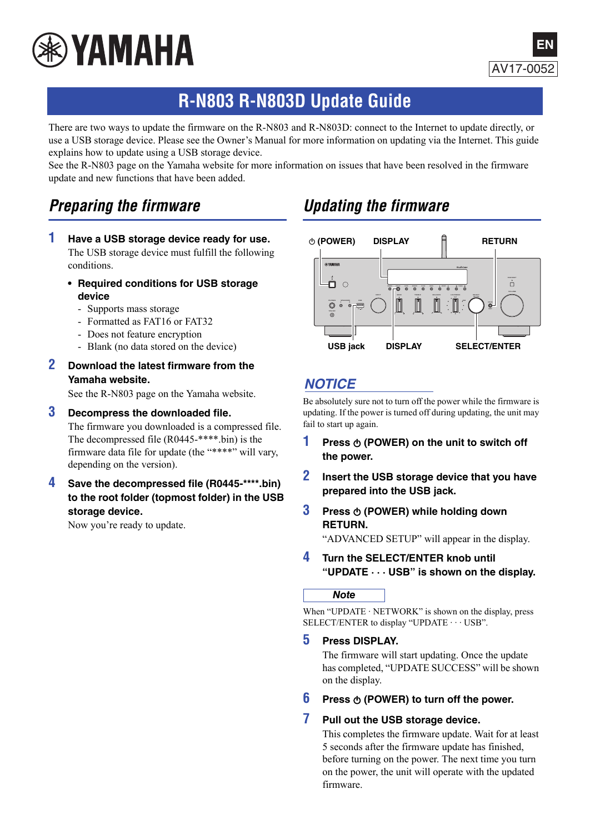

# **R-N803 R-N803D Update Guide**

There are two ways to update the firmware on the R-N803 and R-N803D: connect to the Internet to update directly, or use a USB storage device. Please see the Owner's Manual for more information on updating via the Internet. This guide explains how to update using a USB storage device.

See the R-N803 page on the Yamaha website for more information on issues that have been resolved in the firmware update and new functions that have been added.

## *Preparing the firmware*

- **1 Have a USB storage device ready for use.** The USB storage device must fulfill the following conditions.
	- **• Required conditions for USB storage device** 
		- Supports mass storage
		- Formatted as FAT16 or FAT32
		- Does not feature encryption
		- Blank (no data stored on the device)
- **2 Download the latest firmware from the Yamaha website.**

See the R-N803 page on the Yamaha website.

#### **3Decompress the downloaded file.**

The firmware you downloaded is a compressed file. The decompressed file (R0445-\*\*\*\*.bin) is the firmware data file for update (the "\*\*\*\*" will vary, depending on the version).

### **4 Save the decompressed file (R0445-\*\*\*\*.bin) to the root folder (topmost folder) in the USB storage device.**

Now you're ready to update.

## *Updating the firmware*



### *NOTICE*

Be absolutely sure not to turn off the power while the firmware is updating. If the power is turned off during updating, the unit may fail to start up again.

- **1Press**  $\phi$  **(POWER) on the unit to switch off the power.**
- **2 Insert the USB storage device that you have prepared into the USB jack.**
- **3Press**  $\phi$  **(POWER) while holding down RETURN.**

"ADVANCED SETUP" will appear in the display.

**4 Turn the SELECT/ENTER knob until "UPDATE · · · USB" is shown on the display.**

### *Note*

When "UPDATE  $\cdot$  NETWORK" is shown on the display, press SELECT/ENTER to display "UPDATE  $\cdots$  USB".

#### **5Press DISPLAY.**

The firmware will start updating. Once the update has completed, "UPDATE SUCCESS" will be shown on the display.

**6** Press  $\Phi$  (POWER) to turn off the power.

#### **7Pull out the USB storage device.**

This completes the firmware update. Wait for at least 5 seconds after the firmware update has finished, before turning on the power. The next time you turn on the power, the unit will operate with the updated firmware.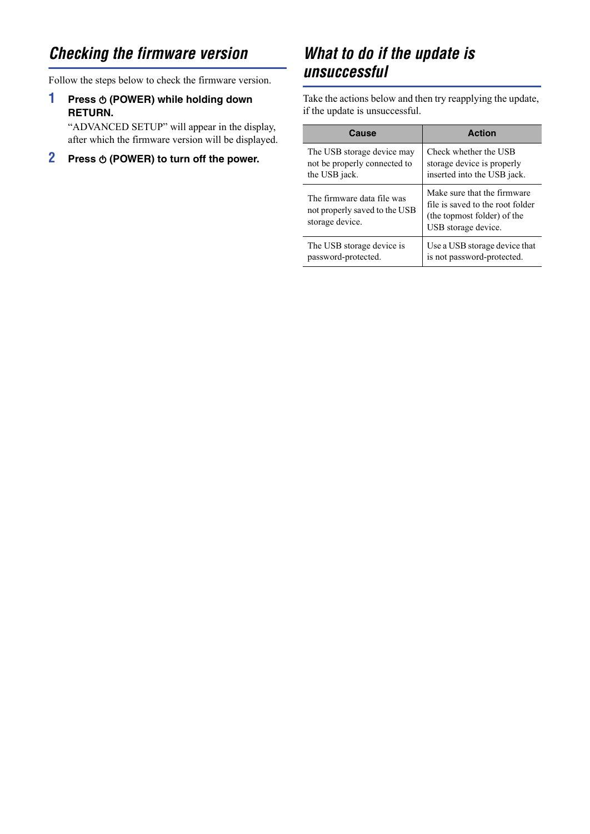# *Checking the firmware version*

Follow the steps below to check the firmware version.

### **1Press**  $\Phi$  **(POWER) while holding down RETURN.**

"ADVANCED SETUP" will appear in the display, after which the firmware version will be displayed.

#### **2Press**  $\Phi$  **(POWER) to turn off the power.**

# *What to do if the update is unsuccessful*

Take the actions below and then try reapplying the update, if the update is unsuccessful.

| Cause                                                                          | <b>Action</b>                                                                                                         |
|--------------------------------------------------------------------------------|-----------------------------------------------------------------------------------------------------------------------|
| The USB storage device may                                                     | Check whether the USB                                                                                                 |
| not be properly connected to                                                   | storage device is properly                                                                                            |
| the USB jack.                                                                  | inserted into the USB jack.                                                                                           |
| The firmware data file was<br>not properly saved to the USB<br>storage device. | Make sure that the firmware<br>file is saved to the root folder<br>(the topmost folder) of the<br>USB storage device. |
| The USB storage device is                                                      | Use a USB storage device that                                                                                         |
| password-protected.                                                            | is not password-protected.                                                                                            |